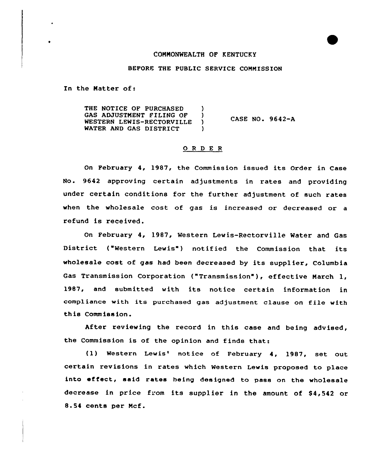### COMMONWEALTH OF KENTUCKY

#### BEFORE THE PUBLIC SERVICE COMMISSION

ln the Matter of:

THE NOTICE OF PURCHASED )<br>GAS ADJUSTMENT FILING OF ) GAS ADJUSTMENT FILING OF )<br>WESTERN LEWIS-RECTORVILLE ) WESTERN LEWIS-RECTORVILLE )<br>WATER AND GAS DISTRICT WATER AND GAS DISTRICT CASE NO. 9642-A

# 0 <sup>R</sup> <sup>D</sup> E <sup>R</sup>

On February 4, 1987, the Commission issued its Order in Case No. 9642 approving certain adjustments in rates and providing under certain conditions for the further adjustment of such rates when the wholesale cost of gas is increased or decreased or <sup>a</sup> refund is received.

On February 4, 1987, Western Lewis-Rectorville Water and Gas District ("Western Lewis") notified the Commission that its wholesale cost of gas had been decreased by its supplier, Columbia Gas Transmission Corporation ("Transmission" ), effective March 1, 1987, and submitted with its notice certain information in compliance with its purchased gas adjustment clause on file with this Commission.

After reviewing the record in this case and being advised, the Commission is of the opinion and finds that:

(1) Western Lewis' notice of February 4, 1987, set out certain revisions in rates which Western Lewis proposed to place into effeet, said rates being designed to pass on the wholesale decrease in price from its supplier in the amount of \$4,542 or 8.54 cents per Mcf.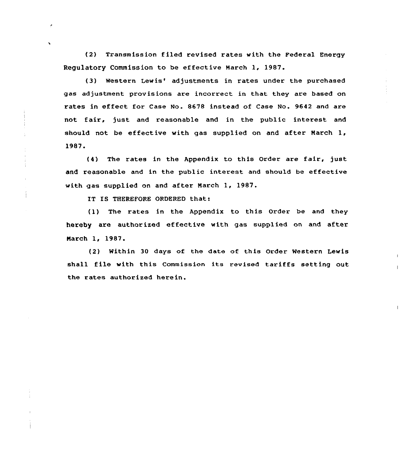(2) Transmission filed revised rates with the Federal Energy Regulatory Commission to be effective March 1, 1987.

(3) Western Lewis' adjustments in rates under the purchased gas adjustment provisions are incorrect in that they are based on rates in effect for Case No. 8678 instead of Case No. 9642 and are not fair, just and reasonable and in the public interest and should not be effective with gas supplied on and after March 1, 1987.

(4) The rates in the Appendix to this Order are fair, just and reasonable and in the public interest and should be effective with gas supplied on and after March 1, 1987.

IT IS THEREFORE ORDERED that:

(1) The rates in the Appendix to this Order be and they hereby are authorized effective with gas supplied on and after Narch 1, 1987.

(2) Within 30 days of the date of this Order Western Lewis shall file with this Commission its revised tariffs setting out the rates authorized herein.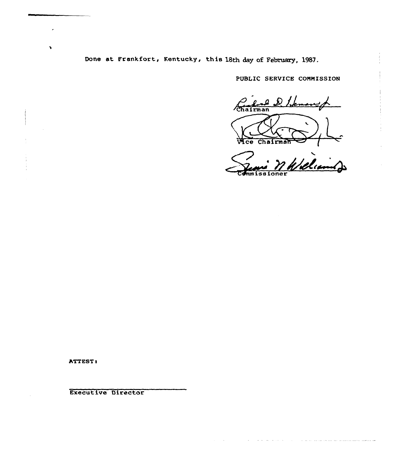Done at Frankfort, Kentucky, this 18th day of February, 1987.

PUBLIC SERVICE COMMISSION

Chairman  $ce$ Chairman  $\ddot{\phantom{0}}$ 

Williams

ATTEST:

 $\ddot{\phantom{1}}$ 

Executive Director